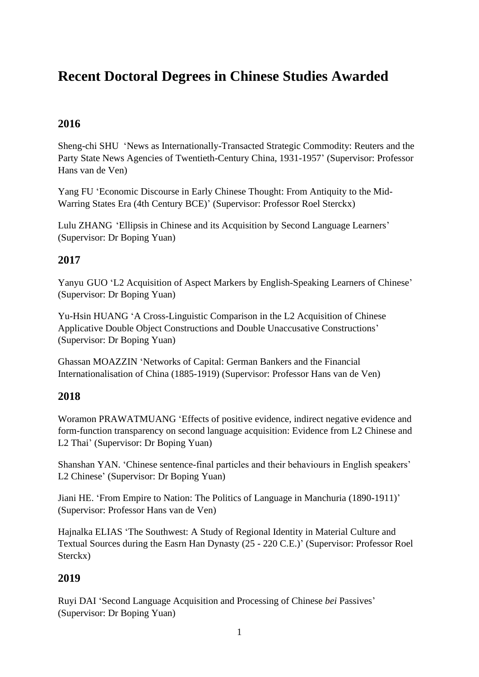# **Recent Doctoral Degrees in Chinese Studies Awarded**

### **2016**

Sheng-chi SHU 'News as Internationally-Transacted Strategic Commodity: Reuters and the Party State News Agencies of Twentieth-Century China, 1931-1957' (Supervisor: Professor Hans van de Ven)

Yang FU 'Economic Discourse in Early Chinese Thought: From Antiquity to the Mid-Warring States Era (4th Century BCE)' (Supervisor: Professor Roel Sterckx)

Lulu ZHANG 'Ellipsis in Chinese and its Acquisition by Second Language Learners' (Supervisor: Dr Boping Yuan)

#### **2017**

Yanyu GUO 'L2 Acquisition of Aspect Markers by English-Speaking Learners of Chinese' (Supervisor: Dr Boping Yuan)

Yu-Hsin HUANG 'A Cross-Linguistic Comparison in the L2 Acquisition of Chinese Applicative Double Object Constructions and Double Unaccusative Constructions' (Supervisor: Dr Boping Yuan)

Ghassan MOAZZIN 'Networks of Capital: German Bankers and the Financial Internationalisation of China (1885-1919) (Supervisor: Professor Hans van de Ven)

#### **2018**

Woramon PRAWATMUANG 'Effects of positive evidence, indirect negative evidence and form-function transparency on second language acquisition: Evidence from L2 Chinese and L2 Thai' (Supervisor: Dr Boping Yuan)

Shanshan YAN. 'Chinese sentence-final particles and their behaviours in English speakers' L2 Chinese' (Supervisor: Dr Boping Yuan)

Jiani HE. 'From Empire to Nation: The Politics of Language in Manchuria (1890-1911)' (Supervisor: Professor Hans van de Ven)

Hajnalka ELIAS 'The Southwest: A Study of Regional Identity in Material Culture and Textual Sources during the Easrn Han Dynasty (25 - 220 C.E.)' (Supervisor: Professor Roel Sterckx)

#### **2019**

Ruyi DAI 'Second Language Acquisition and Processing of Chinese *bei* Passives' (Supervisor: Dr Boping Yuan)